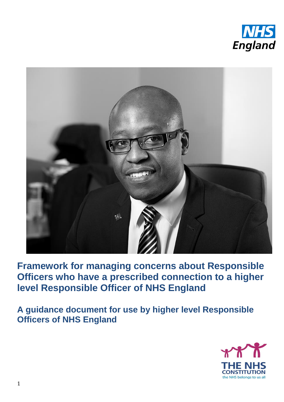



**Framework for managing concerns about Responsible Officers who have a prescribed connection to a higher level Responsible Officer of NHS England**

**A guidance document for use by higher level Responsible Officers of NHS England**

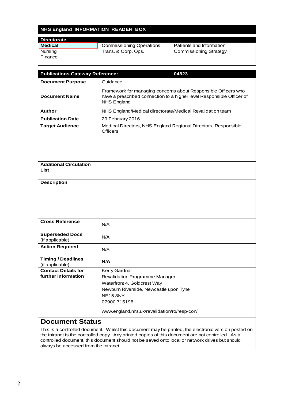#### **NHS England INFORMATION READER BOX**

| <b>Directorate</b> |                                 |                               |
|--------------------|---------------------------------|-------------------------------|
| <b>Medical</b>     | <b>Commissioning Operations</b> | Patients and Information      |
| Nursing            | Trans. & Corp. Ops.             | <b>Commissioning Strategy</b> |
| Finance            |                                 |                               |
|                    |                                 |                               |

| <b>Publications Gateway Reference:</b>       | 04823                                                                                                                                                         |  |
|----------------------------------------------|---------------------------------------------------------------------------------------------------------------------------------------------------------------|--|
| <b>Document Purpose</b>                      | Guidance                                                                                                                                                      |  |
| <b>Document Name</b>                         | Framework for managing concerns about Responsible Officers who<br>have a prescribed connection to a higher level Responsible Officer of<br><b>NHS England</b> |  |
| Author                                       | NHS England/Medical directorate/Medical Revalidation team                                                                                                     |  |
| <b>Publication Date</b>                      | 29 February 2016                                                                                                                                              |  |
| <b>Target Audience</b>                       | Medical Directors, NHS England Regional Directors, Responsible<br><b>Officers</b>                                                                             |  |
| <b>Additional Circulation</b><br>List        |                                                                                                                                                               |  |
| <b>Description</b>                           |                                                                                                                                                               |  |
| <b>Cross Reference</b>                       | N/A                                                                                                                                                           |  |
| <b>Superseded Docs</b><br>(if applicable)    | N/A                                                                                                                                                           |  |
| <b>Action Required</b>                       | N/A                                                                                                                                                           |  |
| <b>Timing / Deadlines</b><br>(if applicable) | N/A                                                                                                                                                           |  |
| <b>Contact Details for</b>                   | <b>Kerry Gardner</b>                                                                                                                                          |  |
| further information                          | <b>Revalidation Programme Manager</b>                                                                                                                         |  |
|                                              | Waterfront 4, Goldcrest Way                                                                                                                                   |  |
|                                              | Newburn Riverside, Newcastle upon Tyne                                                                                                                        |  |
|                                              | <b>NE15 8NY</b>                                                                                                                                               |  |
|                                              | 07900 715198                                                                                                                                                  |  |
|                                              | www.england.nhs.uk/revalidation/ro/resp-con/                                                                                                                  |  |
| <b>Document Status</b>                       |                                                                                                                                                               |  |

This is a controlled document. Whilst this document may be printed, the electronic version posted on the intranet is the controlled copy. Any printed copies of this document are not controlled. As a controlled document, this document should not be saved onto local or network drives but should always be accessed from the intranet.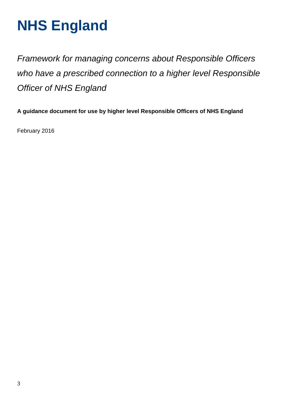# **NHS England**

*Framework for managing concerns about Responsible Officers who have a prescribed connection to a higher level Responsible Officer of NHS England*

**A guidance document for use by higher level Responsible Officers of NHS England** 

February 2016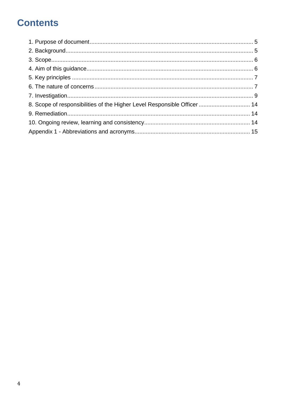### **Contents**

| 8. Scope of responsibilities of the Higher Level Responsible Officer  14 |  |
|--------------------------------------------------------------------------|--|
|                                                                          |  |
|                                                                          |  |
|                                                                          |  |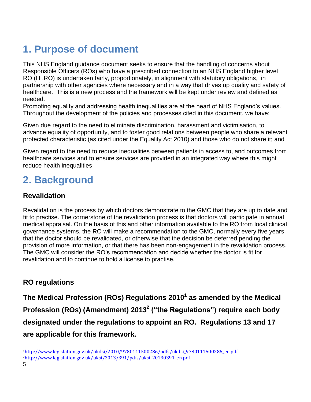### **1. Purpose of document**

<span id="page-4-0"></span>This NHS England guidance document seeks to ensure that the handling of concerns about Responsible Officers (ROs) who have a prescribed connection to an NHS England higher level RO (HLRO) is undertaken fairly, proportionately, in alignment with statutory obligations, in partnership with other agencies where necessary and in a way that drives up quality and safety of healthcare. This is a new process and the framework will be kept under review and defined as needed.

Promoting equality and addressing health inequalities are at the heart of NHS England's values. Throughout the development of the policies and processes cited in this document, we have:

Given due regard to the need to eliminate discrimination, harassment and victimisation, to advance equality of opportunity, and to foster good relations between people who share a relevant protected characteristic (as cited under the Equality Act 2010) and those who do not share it; and

Given regard to the need to reduce inequalities between patients in access to, and outcomes from healthcare services and to ensure services are provided in an integrated way where this might reduce health inequalities

### **2. Background**

#### **Revalidation**

<span id="page-4-1"></span>Revalidation is the process by which doctors demonstrate to the GMC that they are up to date and fit to practise. The cornerstone of the revalidation process is that doctors will participate in annual medical appraisal. On the basis of this and other information available to the RO from local clinical governance systems, the RO will make a recommendation to the GMC, normally every five years that the doctor should be revalidated, or otherwise that the decision be deferred pending the provision of more information, or that there has been non-engagement in the revalidation process. The GMC will consider the RO's recommendation and decide whether the doctor is fit for revalidation and to continue to hold a license to practise.

#### **RO regulations**

**The Medical Profession (ROs) Regulations 2010<sup>1</sup> as amended by the Medical Profession (ROs) (Amendment) 2013<sup>2</sup> ("the Regulations") require each body designated under the regulations to appoint an RO. Regulations 13 and 17 are applicable for this framework.** 

1

<sup>1</sup>[http://www.legislation.gov.uk/ukdsi/2010/9780111500286/pdfs/ukdsi\\_9780111500286\\_en.pdf](http://www.legislation.gov.uk/ukdsi/2010/9780111500286/pdfs/ukdsi_9780111500286_en.pdf) 2[http://www.legislation.gov.uk/uksi/2013/391/pdfs/uksi\\_20130391\\_en.pdf](http://www.legislation.gov.uk/uksi/2013/391/pdfs/uksi_20130391_en.pdf)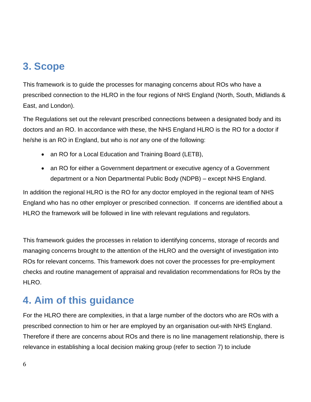### **3. Scope**

<span id="page-5-0"></span>This framework is to guide the processes for managing concerns about ROs who have a prescribed connection to the HLRO in the four regions of NHS England (North, South, Midlands & East, and London).

The Regulations set out the relevant prescribed connections between a designated body and its doctors and an RO. In accordance with these, the NHS England HLRO is the RO for a doctor if he/she is an RO in England, but who is *not* any one of the following:

- an RO for a Local Education and Training Board (LETB),
- an RO for either a Government department or executive agency of a Government department or a Non Departmental Public Body (NDPB) – except NHS England.

In addition the regional HLRO is the RO for any doctor employed in the regional team of NHS England who has no other employer or prescribed connection. If concerns are identified about a HLRO the framework will be followed in line with relevant regulations and regulators.

This framework guides the processes in relation to identifying concerns, storage of records and managing concerns brought to the attention of the HLRO and the oversight of investigation into ROs for relevant concerns. This framework does not cover the processes for pre-employment checks and routine management of appraisal and revalidation recommendations for ROs by the HLRO.

### **4. Aim of this guidance**

<span id="page-5-1"></span>For the HLRO there are complexities, in that a large number of the doctors who are ROs with a prescribed connection to him or her are employed by an organisation out-with NHS England. Therefore if there are concerns about ROs and there is no line management relationship, there is relevance in establishing a local decision making group (refer to section 7) to include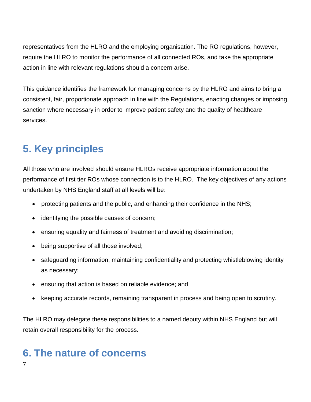representatives from the HLRO and the employing organisation. The RO regulations, however, require the HLRO to monitor the performance of all connected ROs, and take the appropriate action in line with relevant regulations should a concern arise.

This guidance identifies the framework for managing concerns by the HLRO and aims to bring a consistent, fair, proportionate approach in line with the Regulations, enacting changes or imposing sanction where necessary in order to improve patient safety and the quality of healthcare services.

### **5. Key principles**

<span id="page-6-0"></span>All those who are involved should ensure HLROs receive appropriate information about the performance of first tier ROs whose connection is to the HLRO. The key objectives of any actions undertaken by NHS England staff at all levels will be:

- protecting patients and the public, and enhancing their confidence in the NHS;
- identifying the possible causes of concern;
- ensuring equality and fairness of treatment and avoiding discrimination;
- being supportive of all those involved;
- safeguarding information, maintaining confidentiality and protecting whistleblowing identity as necessary;
- ensuring that action is based on reliable evidence; and
- keeping accurate records, remaining transparent in process and being open to scrutiny.

The HLRO may delegate these responsibilities to a named deputy within NHS England but will retain overall responsibility for the process.

## <span id="page-6-1"></span>**6. The nature of concerns**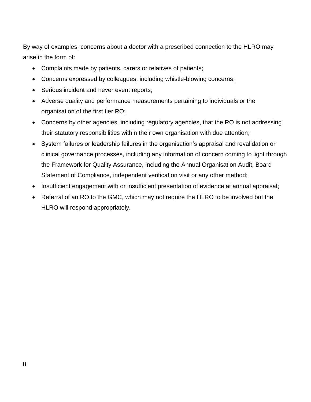By way of examples, concerns about a doctor with a prescribed connection to the HLRO may arise in the form of:

- Complaints made by patients, carers or relatives of patients;
- Concerns expressed by colleagues, including whistle-blowing concerns;
- Serious incident and never event reports;
- Adverse quality and performance measurements pertaining to individuals or the organisation of the first tier RO;
- Concerns by other agencies, including regulatory agencies, that the RO is not addressing their statutory responsibilities within their own organisation with due attention;
- System failures or leadership failures in the organisation's appraisal and revalidation or clinical governance processes, including any information of concern coming to light through the Framework for Quality Assurance, including the Annual Organisation Audit, Board Statement of Compliance, independent verification visit or any other method;
- Insufficient engagement with or insufficient presentation of evidence at annual appraisal;
- Referral of an RO to the GMC, which may not require the HLRO to be involved but the HLRO will respond appropriately.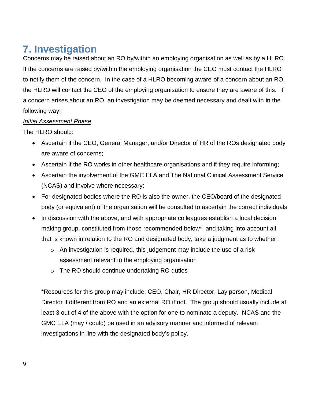### **7. Investigation**

<span id="page-8-0"></span>Concerns may be raised about an RO by/within an employing organisation as well as by a HLRO. If the concerns are raised by/within the employing organisation the CEO must contact the HLRO to notify them of the concern. In the case of a HLRO becoming aware of a concern about an RO, the HLRO will contact the CEO of the employing organisation to ensure they are aware of this. If a concern arises about an RO, an investigation may be deemed necessary and dealt with in the following way:

#### *Initial Assessment Phase*

The HLRO should:

- Ascertain if the CEO, General Manager, and/or Director of HR of the ROs designated body are aware of concerns;
- Ascertain if the RO works in other healthcare organisations and if they require informing;
- Ascertain the involvement of the GMC ELA and The National Clinical Assessment Service (NCAS) and involve where necessary;
- For designated bodies where the RO is also the owner, the CEO/board of the designated body (or equivalent) of the organisation will be consulted to ascertain the correct individuals
- In discussion with the above, and with appropriate colleagues establish a local decision making group, constituted from those recommended below\*, and taking into account all that is known in relation to the RO and designated body, take a judgment as to whether:
	- o An investigation is required, this judgement may include the use of a risk assessment relevant to the employing organisation
	- o The RO should continue undertaking RO duties

\*Resources for this group may include; CEO, Chair, HR Director, Lay person, Medical Director if different from RO and an external RO if not. The group should usually include at least 3 out of 4 of the above with the option for one to nominate a deputy. NCAS and the GMC ELA (may / could) be used in an advisory manner and informed of relevant investigations in line with the designated body's policy.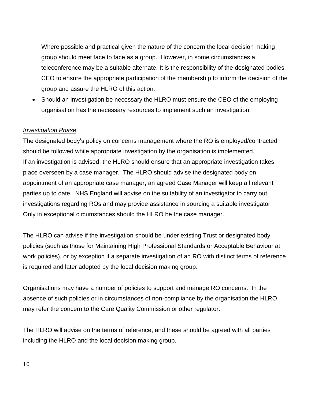Where possible and practical given the nature of the concern the local decision making group should meet face to face as a group. However, in some circumstances a teleconference may be a suitable alternate. It is the responsibility of the designated bodies CEO to ensure the appropriate participation of the membership to inform the decision of the group and assure the HLRO of this action.

• Should an investigation be necessary the HLRO must ensure the CEO of the employing organisation has the necessary resources to implement such an investigation.

#### *Investigation Phase*

The designated body's policy on concerns management where the RO is employed/contracted should be followed while appropriate investigation by the organisation is implemented. If an investigation is advised, the HLRO should ensure that an appropriate investigation takes place overseen by a case manager. The HLRO should advise the designated body on appointment of an appropriate case manager, an agreed Case Manager will keep all relevant parties up to date. NHS England will advise on the suitability of an investigator to carry out investigations regarding ROs and may provide assistance in sourcing a suitable investigator. Only in exceptional circumstances should the HLRO be the case manager.

The HLRO can advise if the investigation should be under existing Trust or designated body policies (such as those for Maintaining High Professional Standards or Acceptable Behaviour at work policies), or by exception if a separate investigation of an RO with distinct terms of reference is required and later adopted by the local decision making group.

Organisations may have a number of policies to support and manage RO concerns. In the absence of such policies or in circumstances of non-compliance by the organisation the HLRO may refer the concern to the Care Quality Commission or other regulator.

The HLRO will advise on the terms of reference, and these should be agreed with all parties including the HLRO and the local decision making group.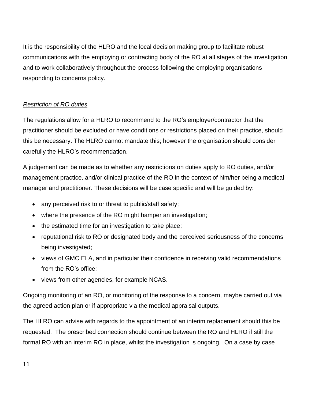It is the responsibility of the HLRO and the local decision making group to facilitate robust communications with the employing or contracting body of the RO at all stages of the investigation and to work collaboratively throughout the process following the employing organisations responding to concerns policy.

#### *Restriction of RO duties*

The regulations allow for a HLRO to recommend to the RO's employer/contractor that the practitioner should be excluded or have conditions or restrictions placed on their practice, should this be necessary. The HLRO cannot mandate this; however the organisation should consider carefully the HLRO's recommendation.

A judgement can be made as to whether any restrictions on duties apply to RO duties, and/or management practice, and/or clinical practice of the RO in the context of him/her being a medical manager and practitioner. These decisions will be case specific and will be guided by:

- any perceived risk to or threat to public/staff safety;
- where the presence of the RO might hamper an investigation;
- the estimated time for an investigation to take place;
- reputational risk to RO or designated body and the perceived seriousness of the concerns being investigated;
- views of GMC ELA, and in particular their confidence in receiving valid recommendations from the RO's office;
- views from other agencies, for example NCAS.

Ongoing monitoring of an RO, or monitoring of the response to a concern, maybe carried out via the agreed action plan or if appropriate via the medical appraisal outputs.

The HLRO can advise with regards to the appointment of an interim replacement should this be requested. The prescribed connection should continue between the RO and HLRO if still the formal RO with an interim RO in place, whilst the investigation is ongoing. On a case by case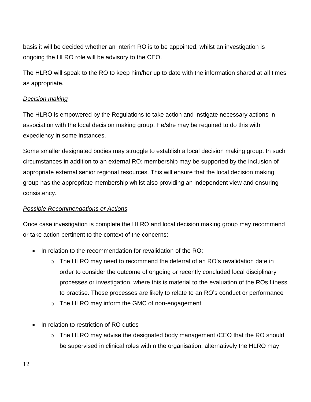basis it will be decided whether an interim RO is to be appointed, whilst an investigation is ongoing the HLRO role will be advisory to the CEO.

The HLRO will speak to the RO to keep him/her up to date with the information shared at all times as appropriate.

#### *Decision making*

The HLRO is empowered by the Regulations to take action and instigate necessary actions in association with the local decision making group. He/she may be required to do this with expediency in some instances.

Some smaller designated bodies may struggle to establish a local decision making group. In such circumstances in addition to an external RO; membership may be supported by the inclusion of appropriate external senior regional resources. This will ensure that the local decision making group has the appropriate membership whilst also providing an independent view and ensuring consistency.

#### *Possible Recommendations or Actions*

Once case investigation is complete the HLRO and local decision making group may recommend or take action pertinent to the context of the concerns:

- In relation to the recommendation for revalidation of the RO:
	- $\circ$  The HLRO may need to recommend the deferral of an RO's revalidation date in order to consider the outcome of ongoing or recently concluded local disciplinary processes or investigation, where this is material to the evaluation of the ROs fitness to practise. These processes are likely to relate to an RO's conduct or performance
	- o The HLRO may inform the GMC of non-engagement
- In relation to restriction of RO duties
	- o The HLRO may advise the designated body management /CEO that the RO should be supervised in clinical roles within the organisation, alternatively the HLRO may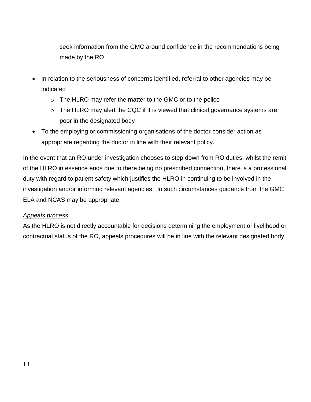seek information from the GMC around confidence in the recommendations being made by the RO

- In relation to the seriousness of concerns identified, referral to other agencies may be indicated
	- $\circ$  The HLRO may refer the matter to the GMC or to the police
	- $\circ$  The HLRO may alert the CQC if it is viewed that clinical governance systems are poor in the designated body
- To the employing or commissioning organisations of the doctor consider action as appropriate regarding the doctor in line with their relevant policy.

In the event that an RO under investigation chooses to step down from RO duties, whilst the remit of the HLRO in essence ends due to there being no prescribed connection, there is a professional duty with regard to patient safety which justifies the HLRO in continuing to be involved in the investigation and/or informing relevant agencies. In such circumstances guidance from the GMC ELA and NCAS may be appropriate.

#### *Appeals process*

As the HLRO is not directly accountable for decisions determining the employment or livelihood or contractual status of the RO, appeals procedures will be in line with the relevant designated body.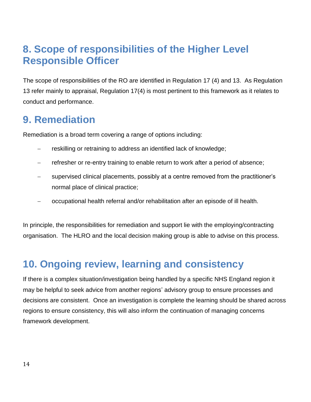### **8. Scope of responsibilities of the Higher Level Responsible Officer**

<span id="page-13-0"></span>The scope of responsibilities of the RO are identified in Regulation 17 (4) and 13. As Regulation 13 refer mainly to appraisal, Regulation 17(4) is most pertinent to this framework as it relates to conduct and performance.

### **9. Remediation**

<span id="page-13-1"></span>Remediation is a broad term covering a range of options including:

- reskilling or retraining to address an identified lack of knowledge;
- refresher or re-entry training to enable return to work after a period of absence;
- supervised clinical placements, possibly at a centre removed from the practitioner's normal place of clinical practice;
- occupational health referral and/or rehabilitation after an episode of ill health.

In principle, the responsibilities for remediation and support lie with the employing/contracting organisation. The HLRO and the local decision making group is able to advise on this process.

### **10. Ongoing review, learning and consistency**

<span id="page-13-2"></span>If there is a complex situation/investigation being handled by a specific NHS England region it may be helpful to seek advice from another regions' advisory group to ensure processes and decisions are consistent. Once an investigation is complete the learning should be shared across regions to ensure consistency, this will also inform the continuation of managing concerns framework development.